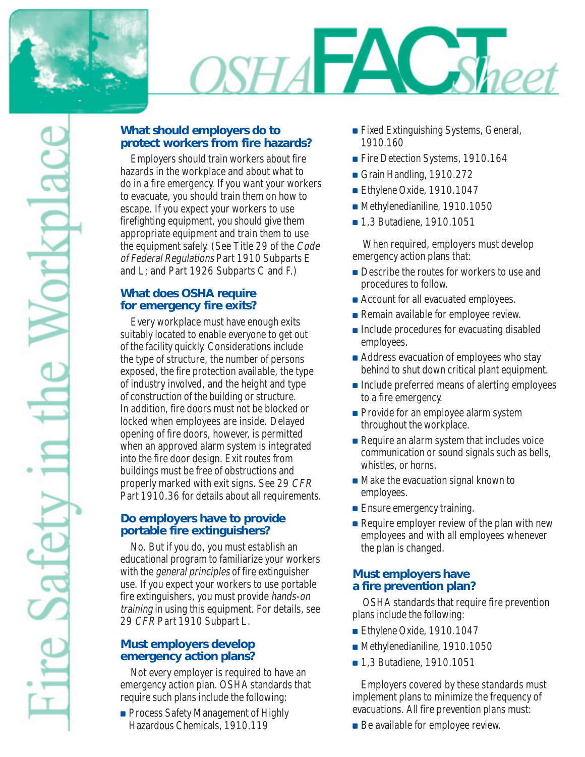

# $SHA$   $\Box$ *Sheet*

## **What should employers do to protect workers from fire hazards?**

Employers should train workers about fire hazards in the workplace and about what to do in a fire emergency. If you want your workers to evacuate, you should train them on how to escape. If you expect your workers to use firefighting equipment, you should give them appropriate equipment and train them to use the equipment safely. (See Title 29 of the Code of Federal Regulations Part 1910 Subparts E and L; and Part 1926 Subparts C and F.)

## **What does OSHA require for emergency fire exits?**

Every workplace must have enough exits suitably located to enable everyone to get out of the facility quickly. Considerations include the type of structure, the number of persons exposed, the fire protection available, the type of industry involved, and the height and type of construction of the building or structure. In addition, fire doors must not be blocked or locked when employees are inside. Delayed opening of fire doors, however, is permitted when an approved alarm system is integrated into the fire door design. Exit routes from buildings must be free of obstructions and properly marked with exit signs. See 29 CFR Part 1910.36 for details about all requirements.

#### **Do employers have to provide portable fire extinguishers?**

No. But if you do, you must establish an educational program to familiarize your workers with the *general principles* of fire extinguisher use. If you expect your workers to use portable fire extinguishers, you must provide hands-on training in using this equipment. For details, see 29 CFR Part 1910 Subpart L.

#### **Must employers develop emergency action plans?**

Not every employer is required to have an emergency action plan. OSHA standards that require such plans include the following:

■ Process Safety Management of Highly Hazardous Chemicals, 1910.119

- Fixed Extinguishing Systems, General, 1910.160
- Fire Detection Systems, 1910.164
- Grain Handling, 1910.272
- Ethylene Oxide, 1910.1047
- Methylenedianiline, 1910.1050
- 1.3 Butadiene, 1910.1051

When required, employers must develop emergency action plans that:

- Describe the routes for workers to use and procedures to follow.
- Account for all evacuated employees.
- Remain available for employee review.
- Include procedures for evacuating disabled employees.
- Address evacuation of employees who stay behind to shut down critical plant equipment.
- Include preferred means of alerting employees to a fire emergency.
- Provide for an employee alarm system throughout the workplace.
- Require an alarm system that includes voice communication or sound signals such as bells, whistles, or horns.
- Make the evacuation signal known to employees.
- Ensure emergency training.
- Require employer review of the plan with new employees and with all employees whenever the plan is changed.

## **Must employers have a fire prevention plan?**

OSHA standards that require fire prevention plans include the following:

- Ethylene Oxide, 1910.1047
- Methylenedianiline, 1910.1050
- 1,3 Butadiene, 1910.1051

Employers covered by these standards must implement plans to minimize the frequency of evacuations. All fire prevention plans must:

■ Be available for employee review.